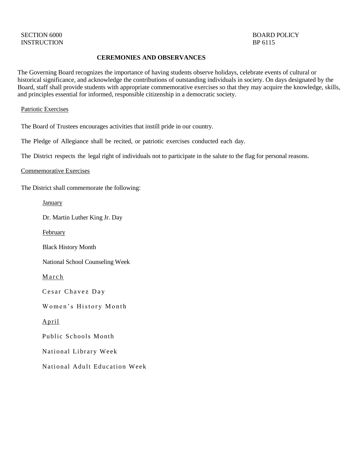# SECTION 6000 BOARD POLICY

## **CEREMONIES AND OBSERVANCES**

The Governing Board recognizes the importance of having students observe holidays, celebrate events of cultural or historical significance, and acknowledge the contributions of outstanding individuals in society. On days designated by the Board, staff shall provide students with appropriate commemorative exercises so that they may acquire the knowledge, skills, and principles essential for informed, responsible citizenship in a democratic society.

#### Patriotic Exercises

The Board of Trustees encourages activities that instill pride in our country.

The Pledge of Allegiance shall be recited, or patriotic exercises conducted each day.

The District respects the legal right of individuals not to participate in the salute to the flag for personal reasons.

#### Commemorative Exercises

The District shall commemorate the following:

**January** 

Dr. Martin Luther King Jr. Day

February

Black History Month

National School Counseling Week

**March** 

Cesar Chavez Day

Women's History Month

April

Public Schools Month

National Library Week

National Adult Education Week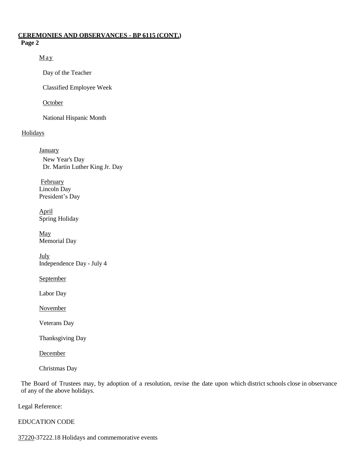## **CEREMONIES AND OBSERVANCES - BP 6115 (CONT.) Page 2**

## May

Day of the Teacher

Classified Employee Week

# **October**

National Hispanic Month

# **Holidays**

**January** New Year's Day Dr. Martin Luther King Jr. Day

**February** Lincoln Day President's Day

April Spring Holiday

May Memorial Day

**July** Independence Day - July 4

**September** 

Labor Day

November

Veterans Day

Thanksgiving Day

**December** 

Christmas Day

The Board of Trustees may, by adoption of a resolution, revise the date upon which district schools close in observance of any of the above holidays.

Legal Reference:

# EDUCATION CODE

[37220-](http://gamutonline.net/displayPolicy/130439/6)37222.18 Holidays and commemorative events